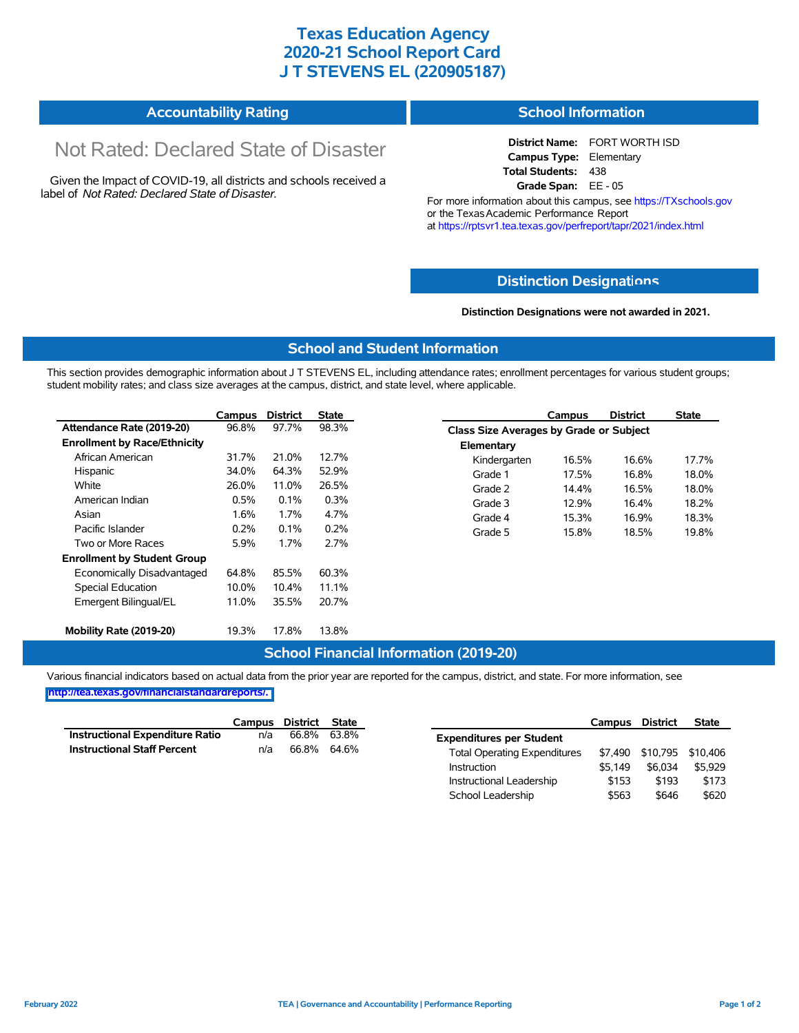## **Texas Education Agency 2020-21 School Report Card J T STEVENS EL (220905187)**

|  | <b>Accountability Rating</b> | <b>School Information</b> |
|--|------------------------------|---------------------------|
|--|------------------------------|---------------------------|

# Not Rated: Declared State of Disaster

Given the Impact of COVID-19, all districts and schools received a label of *Not Rated: Declared State of Disaster.*

**District Name:** FORT WORTH ISD **Campus Type:** Elementary **Total Students:** 438 **Grade Span:** EE - 05

For more information about this campus, see https://TXschools.gov or the Texas Academic Performance Report at https://rptsvr1.tea.texas.gov/perfreport/tapr/2021/index.html

### **Distinction Designat[ions](https://TXschools.gov)**

**Distinction Designations were not awarded in 2021.**

School Leadership  $$563$  \$646 \$620

#### **School and Student Information**

This section provides demographic information about J T STEVENS EL, including attendance rates; enrollment percentages for various student groups; student mobility rates; and class size averages at the campus, district, and state level, where applicable.

|                                     | Campus | <b>District</b> | <b>State</b> |              | Campus                                  | <b>District</b> | <b>State</b> |  |  |
|-------------------------------------|--------|-----------------|--------------|--------------|-----------------------------------------|-----------------|--------------|--|--|
| Attendance Rate (2019-20)           | 96.8%  | 97.7%           | 98.3%        |              | Class Size Averages by Grade or Subject |                 |              |  |  |
| <b>Enrollment by Race/Ethnicity</b> |        |                 |              | Elementary   |                                         |                 |              |  |  |
| African American                    | 31.7%  | 21.0%           | 12.7%        | Kindergarten | 16.5%                                   | 16.6%           | 17.7%        |  |  |
| Hispanic                            | 34.0%  | 64.3%           | 52.9%        | Grade 1      | 17.5%                                   | 16.8%           | 18.0%        |  |  |
| White                               | 26.0%  | 11.0%           | 26.5%        | Grade 2      | 14.4%                                   | 16.5%           | 18.0%        |  |  |
| American Indian                     | 0.5%   | 0.1%            | 0.3%         | Grade 3      | 12.9%                                   | 16.4%           | 18.2%        |  |  |
| Asian                               | 1.6%   | 1.7%            | 4.7%         | Grade 4      | 15.3%                                   | 16.9%           | 18.3%        |  |  |
| Pacific Islander                    | 0.2%   | 0.1%            | 0.2%         | Grade 5      | 15.8%                                   | 18.5%           | 19.8%        |  |  |
| Two or More Races                   | 5.9%   | 1.7%            | 2.7%         |              |                                         |                 |              |  |  |
| <b>Enrollment by Student Group</b>  |        |                 |              |              |                                         |                 |              |  |  |
| Economically Disadvantaged          | 64.8%  | 85.5%           | 60.3%        |              |                                         |                 |              |  |  |
| Special Education                   | 10.0%  | 10.4%           | 11.1%        |              |                                         |                 |              |  |  |
| Emergent Bilingual/EL               | 11.0%  | 35.5%           | 20.7%        |              |                                         |                 |              |  |  |
|                                     |        |                 |              |              |                                         |                 |              |  |  |
| Mobility Rate (2019-20)             | 19.3%  | 17.8%           | 13.8%        |              |                                         |                 |              |  |  |

#### **School Financial Information (2019-20)**

Various financial indicators based on actual data from the prior year are reported for the campus, district, and state. For more information, see

**[http://tea.texas.gov/financialstandardreports/.](http://tea.texas.gov/financialstandardreports/)**

|                                        | Campus | District | State |                                     | Campus  | <b>District</b>           | <b>State</b> |
|----------------------------------------|--------|----------|-------|-------------------------------------|---------|---------------------------|--------------|
| <b>Instructional Expenditure Ratio</b> | n/a    | 66.8%    | 63.8% | <b>Expenditures per Student</b>     |         |                           |              |
| <b>Instructional Staff Percent</b>     | n/a    | 66.8%    | 64.6% | <b>Total Operating Expenditures</b> |         | \$7,490 \$10,795 \$10,406 |              |
|                                        |        |          |       | Instruction                         | \$5.149 | \$6.034                   | \$5.929      |
|                                        |        |          |       | Instructional Leadership            | \$153   | \$193                     | \$173        |